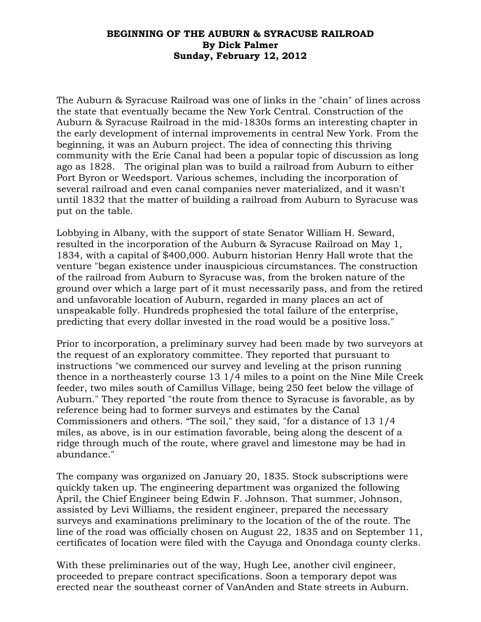## **BEGINNING OF THE AUBURN & SYRACUSE RAILROAD By Dick Palmer Sunday, February 12, 2012**

The Auburn & Syracuse Railroad was one of links in the "chain" of lines across the state that eventually became the New York Central. Construction of the Auburn & Syracuse Railroad in the mid-1830s forms an interesting chapter in the early development of internal improvements in central New York. From the beginning, it was an Auburn project. The idea of connecting this thriving community with the Erie Canal had been a popular topic of discussion as long ago as 1828. The original plan was to build a railroad from Auburn to either Port Byron or Weedsport. Various schemes, including the incorporation of several railroad and even canal companies never materialized, and it wasn't until 1832 that the matter of building a railroad from Auburn to Syracuse was put on the table.

Lobbying in Albany, with the support of state Senator William H. Seward, resulted in the incorporation of the Auburn & Syracuse Railroad on May 1, 1834, with a capital of \$400,000. Auburn historian Henry Hall wrote that the venture "began existence under inauspicious circumstances. The construction of the railroad from Auburn to Syracuse was, from the broken nature of the ground over which a large part of it must necessarily pass, and from the retired and unfavorable location of Auburn, regarded in many places an act of unspeakable folly. Hundreds prophesied the total failure of the enterprise, predicting that every dollar invested in the road would be a positive loss."

Prior to incorporation, a preliminary survey had been made by two surveyors at the request of an exploratory committee. They reported that pursuant to instructions "we commenced our survey and leveling at the prison running thence in a northeasterly course 13 1/4 miles to a point on the Nine Mile Creek feeder, two miles south of Camillus Village, being 250 feet below the village of Auburn." They reported "the route from thence to Syracuse is favorable, as by reference being had to former surveys and estimates by the Canal Commissioners and others. "The soil," they said, "for a distance of 13 1/4 miles, as above, is in our estimation favorable, being along the descent of a ridge through much of the route, where gravel and limestone may be had in abundance."

The company was organized on January 20, 1835. Stock subscriptions were quickly taken up. The engineering department was organized the following April, the Chief Engineer being Edwin F. Johnson. That summer, Johnson, assisted by Levi Williams, the resident engineer, prepared the necessary surveys and examinations preliminary to the location of the of the route. The line of the road was officially chosen on August 22, 1835 and on September 11, certificates of location were filed with the Cayuga and Onondaga county clerks.

With these preliminaries out of the way, Hugh Lee, another civil engineer, proceeded to prepare contract specifications. Soon a temporary depot was erected near the southeast corner of VanAnden and State streets in Auburn.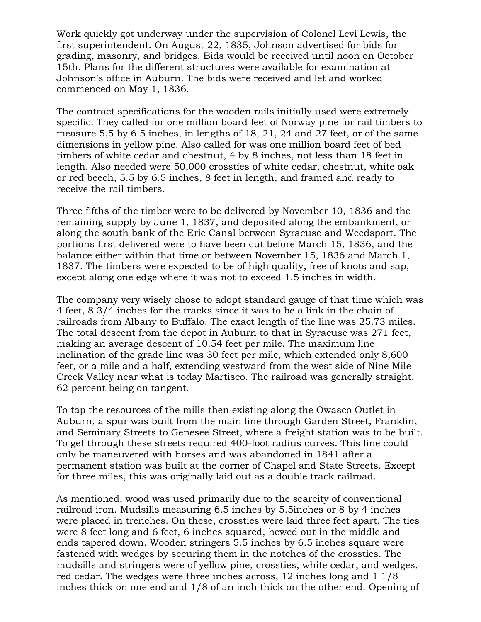Work quickly got underway under the supervision of Colonel Levi Lewis, the first superintendent. On August 22, 1835, Johnson advertised for bids for grading, masonry, and bridges. Bids would be received until noon on October 15th. Plans for the different structures were available for examination at Johnson's office in Auburn. The bids were received and let and worked commenced on May 1, 1836.

The contract specifications for the wooden rails initially used were extremely specific. They called for one million board feet of Norway pine for rail timbers to measure 5.5 by 6.5 inches, in lengths of 18, 21, 24 and 27 feet, or of the same dimensions in yellow pine. Also called for was one million board feet of bed timbers of white cedar and chestnut, 4 by 8 inches, not less than 18 feet in length. Also needed were 50,000 crossties of white cedar, chestnut, white oak or red beech, 5.5 by 6.5 inches, 8 feet in length, and framed and ready to receive the rail timbers.

Three fifths of the timber were to be delivered by November 10, 1836 and the remaining supply by June 1, 1837, and deposited along the embankment, or along the south bank of the Erie Canal between Syracuse and Weedsport. The portions first delivered were to have been cut before March 15, 1836, and the balance either within that time or between November 15, 1836 and March 1, 1837. The timbers were expected to be of high quality, free of knots and sap, except along one edge where it was not to exceed 1.5 inches in width.

The company very wisely chose to adopt standard gauge of that time which was 4 feet, 8 3/4 inches for the tracks since it was to be a link in the chain of railroads from Albany to Buffalo. The exact length of the line was 25.73 miles. The total descent from the depot in Auburn to that in Syracuse was 271 feet, making an average descent of 10.54 feet per mile. The maximum line inclination of the grade line was 30 feet per mile, which extended only 8,600 feet, or a mile and a half, extending westward from the west side of Nine Mile Creek Valley near what is today Martisco. The railroad was generally straight, 62 percent being on tangent.

To tap the resources of the mills then existing along the Owasco Outlet in Auburn, a spur was built from the main line through Garden Street, Franklin, and Seminary Streets to Genesee Street, where a freight station was to be built. To get through these streets required 400-foot radius curves. This line could only be maneuvered with horses and was abandoned in 1841 after a permanent station was built at the corner of Chapel and State Streets. Except for three miles, this was originally laid out as a double track railroad.

As mentioned, wood was used primarily due to the scarcity of conventional railroad iron. Mudsills measuring 6.5 inches by 5.5inches or 8 by 4 inches were placed in trenches. On these, crossties were laid three feet apart. The ties were 8 feet long and 6 feet, 6 inches squared, hewed out in the middle and ends tapered down. Wooden stringers 5.5 inches by 6.5 inches square were fastened with wedges by securing them in the notches of the crossties. The mudsills and stringers were of yellow pine, crossties, white cedar, and wedges, red cedar. The wedges were three inches across, 12 inches long and 1 1/8 inches thick on one end and 1/8 of an inch thick on the other end. Opening of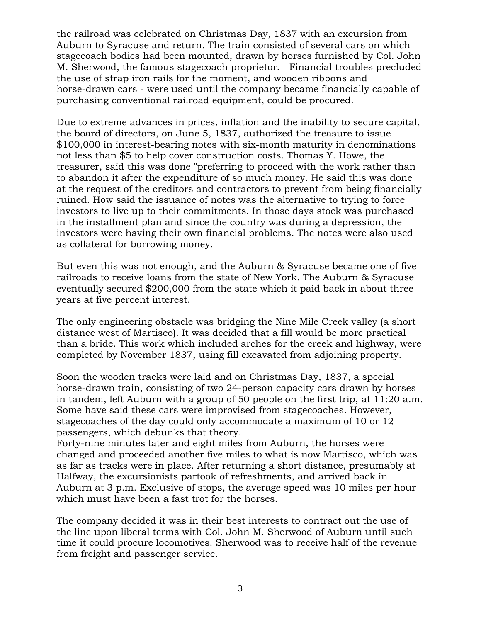the railroad was celebrated on Christmas Day, 1837 with an excursion from Auburn to Syracuse and return. The train consisted of several cars on which stagecoach bodies had been mounted, drawn by horses furnished by Col. John M. Sherwood, the famous stagecoach proprietor. Financial troubles precluded the use of strap iron rails for the moment, and wooden ribbons and horse-drawn cars - were used until the company became financially capable of purchasing conventional railroad equipment, could be procured.

Due to extreme advances in prices, inflation and the inability to secure capital, the board of directors, on June 5, 1837, authorized the treasure to issue \$100,000 in interest-bearing notes with six-month maturity in denominations not less than \$5 to help cover construction costs. Thomas Y. Howe, the treasurer, said this was done "preferring to proceed with the work rather than to abandon it after the expenditure of so much money. He said this was done at the request of the creditors and contractors to prevent from being financially ruined. How said the issuance of notes was the alternative to trying to force investors to live up to their commitments. In those days stock was purchased in the installment plan and since the country was during a depression, the investors were having their own financial problems. The notes were also used as collateral for borrowing money.

But even this was not enough, and the Auburn & Syracuse became one of five railroads to receive loans from the state of New York. The Auburn & Syracuse eventually secured \$200,000 from the state which it paid back in about three years at five percent interest.

The only engineering obstacle was bridging the Nine Mile Creek valley (a short distance west of Martisco). It was decided that a fill would be more practical than a bride. This work which included arches for the creek and highway, were completed by November 1837, using fill excavated from adjoining property.

Soon the wooden tracks were laid and on Christmas Day, 1837, a special horse-drawn train, consisting of two 24-person capacity cars drawn by horses in tandem, left Auburn with a group of 50 people on the first trip, at 11:20 a.m. Some have said these cars were improvised from stagecoaches. However, stagecoaches of the day could only accommodate a maximum of 10 or 12 passengers, which debunks that theory.

Forty-nine minutes later and eight miles from Auburn, the horses were changed and proceeded another five miles to what is now Martisco, which was as far as tracks were in place. After returning a short distance, presumably at Halfway, the excursionists partook of refreshments, and arrived back in Auburn at 3 p.m. Exclusive of stops, the average speed was 10 miles per hour which must have been a fast trot for the horses.

The company decided it was in their best interests to contract out the use of the line upon liberal terms with Col. John M. Sherwood of Auburn until such time it could procure locomotives. Sherwood was to receive half of the revenue from freight and passenger service.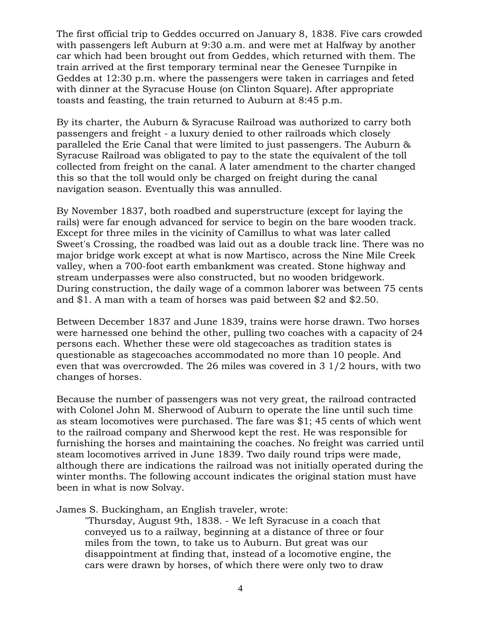The first official trip to Geddes occurred on January 8, 1838. Five cars crowded with passengers left Auburn at 9:30 a.m. and were met at Halfway by another car which had been brought out from Geddes, which returned with them. The train arrived at the first temporary terminal near the Genesee Turnpike in Geddes at 12:30 p.m. where the passengers were taken in carriages and feted with dinner at the Syracuse House (on Clinton Square). After appropriate toasts and feasting, the train returned to Auburn at 8:45 p.m.

By its charter, the Auburn & Syracuse Railroad was authorized to carry both passengers and freight - a luxury denied to other railroads which closely paralleled the Erie Canal that were limited to just passengers. The Auburn & Syracuse Railroad was obligated to pay to the state the equivalent of the toll collected from freight on the canal. A later amendment to the charter changed this so that the toll would only be charged on freight during the canal navigation season. Eventually this was annulled.

By November 1837, both roadbed and superstructure (except for laying the rails) were far enough advanced for service to begin on the bare wooden track. Except for three miles in the vicinity of Camillus to what was later called Sweet's Crossing, the roadbed was laid out as a double track line. There was no major bridge work except at what is now Martisco, across the Nine Mile Creek valley, when a 700-foot earth embankment was created. Stone highway and stream underpasses were also constructed, but no wooden bridgework. During construction, the daily wage of a common laborer was between 75 cents and \$1. A man with a team of horses was paid between \$2 and \$2.50.

Between December 1837 and June 1839, trains were horse drawn. Two horses were harnessed one behind the other, pulling two coaches with a capacity of 24 persons each. Whether these were old stagecoaches as tradition states is questionable as stagecoaches accommodated no more than 10 people. And even that was overcrowded. The 26 miles was covered in 3 1/2 hours, with two changes of horses.

Because the number of passengers was not very great, the railroad contracted with Colonel John M. Sherwood of Auburn to operate the line until such time as steam locomotives were purchased. The fare was \$1; 45 cents of which went to the railroad company and Sherwood kept the rest. He was responsible for furnishing the horses and maintaining the coaches. No freight was carried until steam locomotives arrived in June 1839. Two daily round trips were made, although there are indications the railroad was not initially operated during the winter months. The following account indicates the original station must have been in what is now Solvay.

James S. Buckingham, an English traveler, wrote:

"Thursday, August 9th, 1838. - We left Syracuse in a coach that conveyed us to a railway, beginning at a distance of three or four miles from the town, to take us to Auburn. But great was our disappointment at finding that, instead of a locomotive engine, the cars were drawn by horses, of which there were only two to draw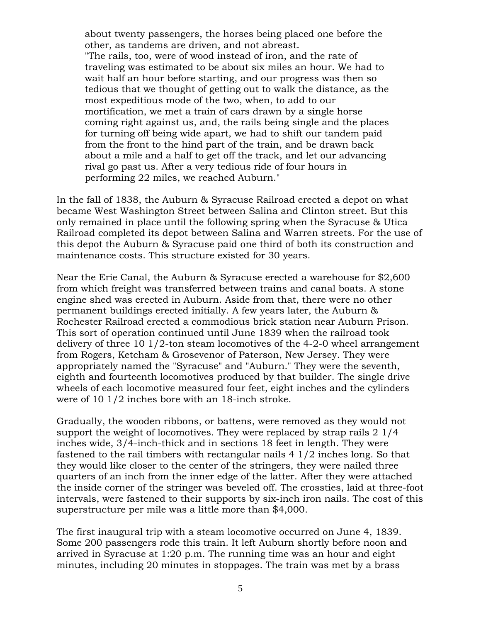about twenty passengers, the horses being placed one before the other, as tandems are driven, and not abreast. "The rails, too, were of wood instead of iron, and the rate of traveling was estimated to be about six miles an hour. We had to wait half an hour before starting, and our progress was then so tedious that we thought of getting out to walk the distance, as the most expeditious mode of the two, when, to add to our mortification, we met a train of cars drawn by a single horse coming right against us, and, the rails being single and the places for turning off being wide apart, we had to shift our tandem paid from the front to the hind part of the train, and be drawn back about a mile and a half to get off the track, and let our advancing rival go past us. After a very tedious ride of four hours in performing 22 miles, we reached Auburn."

In the fall of 1838, the Auburn & Syracuse Railroad erected a depot on what became West Washington Street between Salina and Clinton street. But this only remained in place until the following spring when the Syracuse & Utica Railroad completed its depot between Salina and Warren streets. For the use of this depot the Auburn & Syracuse paid one third of both its construction and maintenance costs. This structure existed for 30 years.

Near the Erie Canal, the Auburn & Syracuse erected a warehouse for \$2,600 from which freight was transferred between trains and canal boats. A stone engine shed was erected in Auburn. Aside from that, there were no other permanent buildings erected initially. A few years later, the Auburn & Rochester Railroad erected a commodious brick station near Auburn Prison. This sort of operation continued until June 1839 when the railroad took delivery of three 10 1/2-ton steam locomotives of the 4-2-0 wheel arrangement from Rogers, Ketcham & Grosevenor of Paterson, New Jersey. They were appropriately named the "Syracuse" and "Auburn." They were the seventh, eighth and fourteenth locomotives produced by that builder. The single drive wheels of each locomotive measured four feet, eight inches and the cylinders were of 10 1/2 inches bore with an 18-inch stroke.

Gradually, the wooden ribbons, or battens, were removed as they would not support the weight of locomotives. They were replaced by strap rails 2 1/4 inches wide, 3/4-inch-thick and in sections 18 feet in length. They were fastened to the rail timbers with rectangular nails 4 1/2 inches long. So that they would like closer to the center of the stringers, they were nailed three quarters of an inch from the inner edge of the latter. After they were attached the inside corner of the stringer was beveled off. The crossties, laid at three-foot intervals, were fastened to their supports by six-inch iron nails. The cost of this superstructure per mile was a little more than \$4,000.

The first inaugural trip with a steam locomotive occurred on June 4, 1839. Some 200 passengers rode this train. It left Auburn shortly before noon and arrived in Syracuse at 1:20 p.m. The running time was an hour and eight minutes, including 20 minutes in stoppages. The train was met by a brass